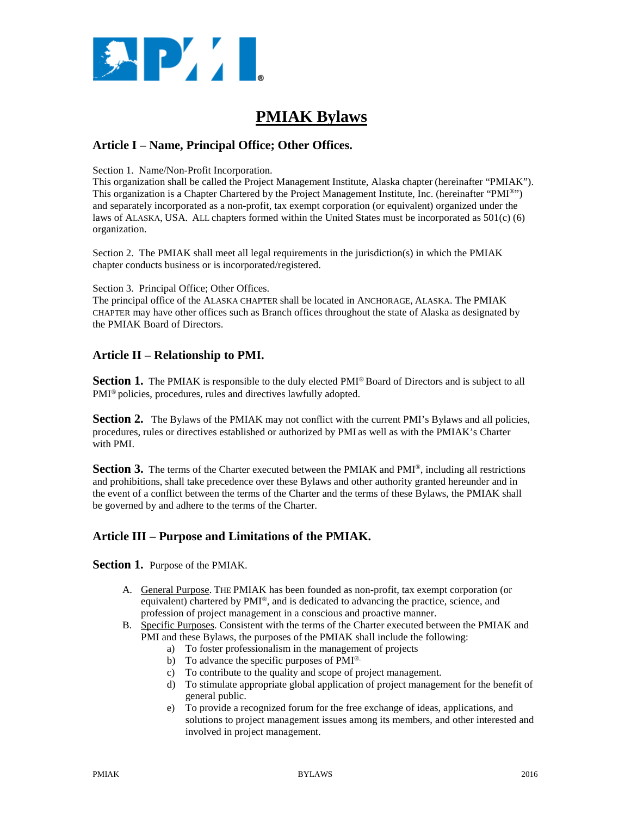

# **PMIAK Bylaws**

# **Article I – Name, Principal Office; Other Offices.**

Section 1. Name/Non-Profit Incorporation.

This organization shall be called the Project Management Institute, Alaska chapter (hereinafter "PMIAK"). This organization is a Chapter Chartered by the Project Management Institute, Inc. (hereinafter "PMI®") and separately incorporated as a non-profit, tax exempt corporation (or equivalent) organized under the laws of ALASKA, USA. ALL chapters formed within the United States must be incorporated as 501(c) (6) organization.

Section 2. The PMIAK shall meet all legal requirements in the jurisdiction(s) in which the PMIAK chapter conducts business or is incorporated/registered.

#### Section 3. Principal Office; Other Offices.

The principal office of the ALASKA CHAPTER shall be located in ANCHORAGE, ALASKA. The PMIAK CHAPTER may have other offices such as Branch offices throughout the state of Alaska as designated by the PMIAK Board of Directors.

# **Article II – Relationship to PMI.**

**Section 1.** The PMIAK is responsible to the duly elected PMI<sup>®</sup> Board of Directors and is subject to all PMI® policies, procedures, rules and directives lawfully adopted.

**Section 2.** The Bylaws of the PMIAK may not conflict with the current PMI's Bylaws and all policies, procedures, rules or directives established or authorized by PMI as well as with the PMIAK's Charter with PMI.

**Section 3.** The terms of the Charter executed between the PMIAK and PMI<sup>®</sup>, including all restrictions and prohibitions, shall take precedence over these Bylaws and other authority granted hereunder and in the event of a conflict between the terms of the Charter and the terms of these Bylaws, the PMIAK shall be governed by and adhere to the terms of the Charter.

# **Article III – Purpose and Limitations of the PMIAK.**

**Section 1.** Purpose of the PMIAK.

- A. General Purpose. THE PMIAK has been founded as non-profit, tax exempt corporation (or equivalent) chartered by PMI®, and is dedicated to advancing the practice, science, and profession of project management in a conscious and proactive manner.
- B. Specific Purposes. Consistent with the terms of the Charter executed between the PMIAK and PMI and these Bylaws, the purposes of the PMIAK shall include the following:
	- a) To foster professionalism in the management of projects
	- b) To advance the specific purposes of PMI®.
	- c) To contribute to the quality and scope of project management.
	- d) To stimulate appropriate global application of project management for the benefit of general public.
	- e) To provide a recognized forum for the free exchange of ideas, applications, and solutions to project management issues among its members, and other interested and involved in project management.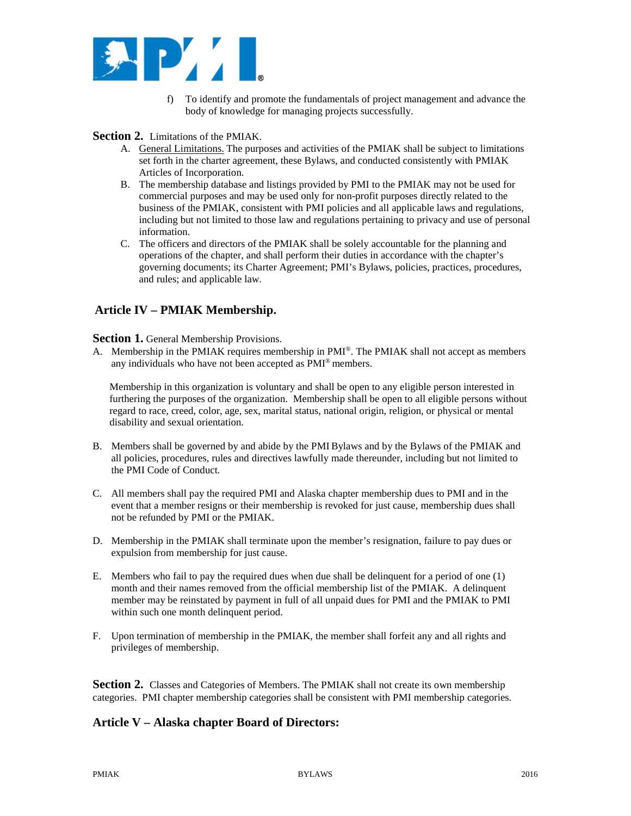

f) To identify and promote the fundamentals of project management and advance the body of knowledge for managing projects successfully.

### **Section 2.** Limitations of the PMIAK.

- A. General Limitations. The purposes and activities of the PMIAK shall be subject to limitations set forth in the charter agreement, these Bylaws, and conducted consistently with PMIAK Articles of Incorporation.
- B. The membership database and listings provided by PMI to the PMIAK may not be used for commercial purposes and may be used only for non-profit purposes directly related to the business of the PMIAK, consistent with PMI policies and all applicable laws and regulations, including but not limited to those law and regulations pertaining to privacy and use of personal information.
- C. The officers and directors of the PMIAK shall be solely accountable for the planning and operations of the chapter, and shall perform their duties in accordance with the chapter's governing documents; its Charter Agreement; PMI's Bylaws, policies, practices, procedures, and rules; and applicable law.

# **Article IV – PMIAK Membership.**

#### **Section 1.** General Membership Provisions.

A. Membership in the PMIAK requires membership in PMI®. The PMIAK shall not accept as members any individuals who have not been accepted as PMI® members.

 Membership in this organization is voluntary and shall be open to any eligible person interested in furthering the purposes of the organization. Membership shall be open to all eligible persons without regard to race, creed, color, age, sex, marital status, national origin, religion, or physical or mental disability and sexual orientation.

- B. Members shall be governed by and abide by the PMI Bylaws and by the Bylaws of the PMIAK and all policies, procedures, rules and directives lawfully made thereunder, including but not limited to the PMI Code of Conduct.
- C. All members shall pay the required PMI and Alaska chapter membership dues to PMI and in the event that a member resigns or their membership is revoked for just cause, membership dues shall not be refunded by PMI or the PMIAK.
- D. Membership in the PMIAK shall terminate upon the member's resignation, failure to pay dues or expulsion from membership for just cause.
- E. Members who fail to pay the required dues when due shall be delinquent for a period of one (1) month and their names removed from the official membership list of the PMIAK. A delinquent member may be reinstated by payment in full of all unpaid dues for PMI and the PMIAK to PMI within such one month delinquent period.
- F. Upon termination of membership in the PMIAK, the member shall forfeit any and all rights and privileges of membership.

**Section 2.** Classes and Categories of Members. The PMIAK shall not create its own membership categories. PMI chapter membership categories shall be consistent with PMI membership categories.

# **Article V – Alaska chapter Board of Directors:**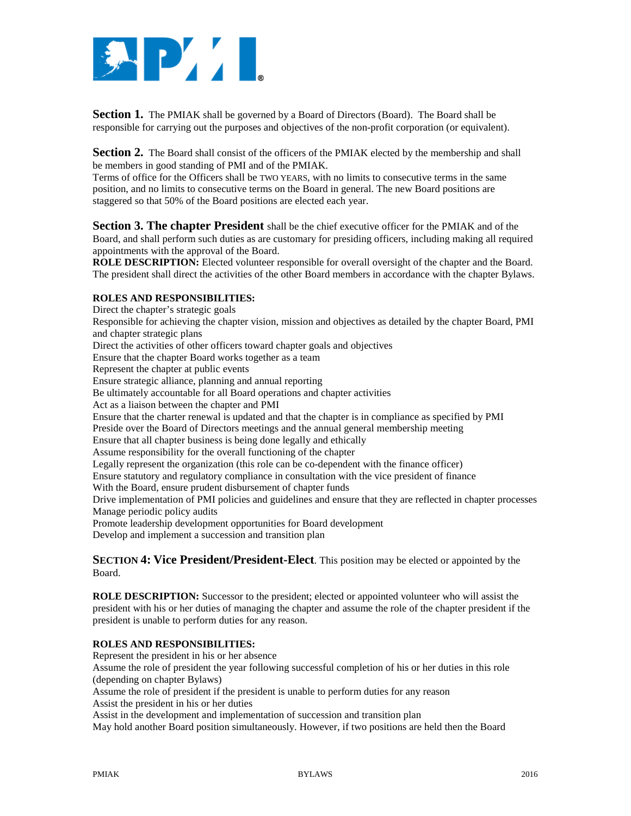

**Section 1.** The PMIAK shall be governed by a Board of Directors (Board). The Board shall be responsible for carrying out the purposes and objectives of the non-profit corporation (or equivalent).

**Section 2.** The Board shall consist of the officers of the PMIAK elected by the membership and shall be members in good standing of PMI and of the PMIAK.

Terms of office for the Officers shall be TWO YEARS, with no limits to consecutive terms in the same position, and no limits to consecutive terms on the Board in general. The new Board positions are staggered so that 50% of the Board positions are elected each year.

**Section 3. The chapter President** shall be the chief executive officer for the PMIAK and of the Board, and shall perform such duties as are customary for presiding officers, including making all required appointments with the approval of the Board.

**ROLE DESCRIPTION:** Elected volunteer responsible for overall oversight of the chapter and the Board. The president shall direct the activities of the other Board members in accordance with the chapter Bylaws.

### **ROLES AND RESPONSIBILITIES:**

Direct the chapter's strategic goals Responsible for achieving the chapter vision, mission and objectives as detailed by the chapter Board, PMI and chapter strategic plans Direct the activities of other officers toward chapter goals and objectives Ensure that the chapter Board works together as a team Represent the chapter at public events Ensure strategic alliance, planning and annual reporting Be ultimately accountable for all Board operations and chapter activities Act as a liaison between the chapter and PMI Ensure that the charter renewal is updated and that the chapter is in compliance as specified by PMI Preside over the Board of Directors meetings and the annual general membership meeting Ensure that all chapter business is being done legally and ethically Assume responsibility for the overall functioning of the chapter Legally represent the organization (this role can be co-dependent with the finance officer) Ensure statutory and regulatory compliance in consultation with the vice president of finance With the Board, ensure prudent disbursement of chapter funds Drive implementation of PMI policies and guidelines and ensure that they are reflected in chapter processes Manage periodic policy audits Promote leadership development opportunities for Board development Develop and implement a succession and transition plan

**SECTION 4: Vice President/President-Elect**. This position may be elected or appointed by the Board.

**ROLE DESCRIPTION:** Successor to the president; elected or appointed volunteer who will assist the president with his or her duties of managing the chapter and assume the role of the chapter president if the president is unable to perform duties for any reason.

#### **ROLES AND RESPONSIBILITIES:**

Represent the president in his or her absence

Assume the role of president the year following successful completion of his or her duties in this role (depending on chapter Bylaws)

Assume the role of president if the president is unable to perform duties for any reason

Assist the president in his or her duties

Assist in the development and implementation of succession and transition plan

May hold another Board position simultaneously. However, if two positions are held then the Board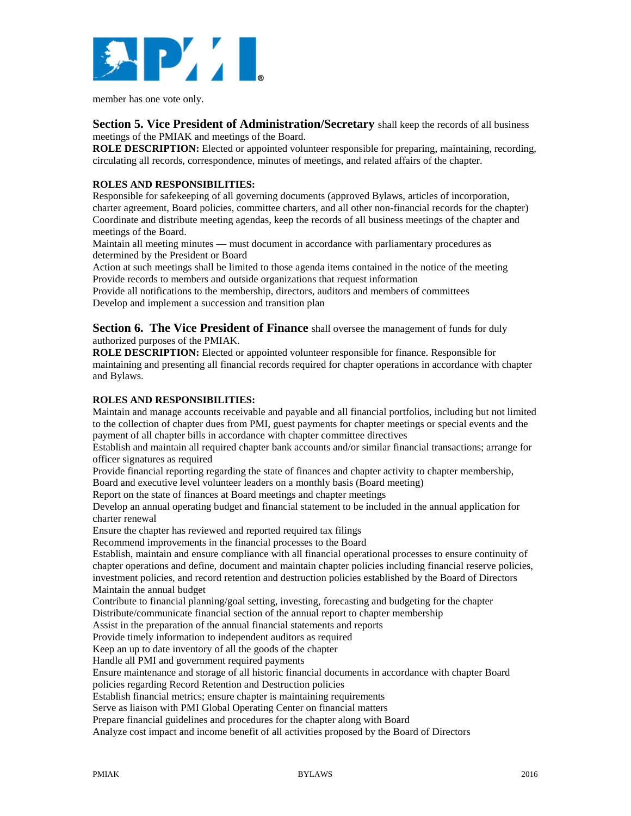

member has one vote only.

### **Section 5. Vice President of Administration/Secretary** shall keep the records of all business meetings of the PMIAK and meetings of the Board.

**ROLE DESCRIPTION:** Elected or appointed volunteer responsible for preparing, maintaining, recording, circulating all records, correspondence, minutes of meetings, and related affairs of the chapter.

### **ROLES AND RESPONSIBILITIES:**

Responsible for safekeeping of all governing documents (approved Bylaws, articles of incorporation, charter agreement, Board policies, committee charters, and all other non-financial records for the chapter) Coordinate and distribute meeting agendas, keep the records of all business meetings of the chapter and meetings of the Board.

Maintain all meeting minutes — must document in accordance with parliamentary procedures as determined by the President or Board

Action at such meetings shall be limited to those agenda items contained in the notice of the meeting Provide records to members and outside organizations that request information

Provide all notifications to the membership, directors, auditors and members of committees Develop and implement a succession and transition plan

**Section 6. The Vice President of Finance** shall oversee the management of funds for duly authorized purposes of the PMIAK.

**ROLE DESCRIPTION:** Elected or appointed volunteer responsible for finance. Responsible for maintaining and presenting all financial records required for chapter operations in accordance with chapter and Bylaws.

#### **ROLES AND RESPONSIBILITIES:**

Maintain and manage accounts receivable and payable and all financial portfolios, including but not limited to the collection of chapter dues from PMI, guest payments for chapter meetings or special events and the payment of all chapter bills in accordance with chapter committee directives

Establish and maintain all required chapter bank accounts and/or similar financial transactions; arrange for officer signatures as required

Provide financial reporting regarding the state of finances and chapter activity to chapter membership, Board and executive level volunteer leaders on a monthly basis (Board meeting)

Report on the state of finances at Board meetings and chapter meetings

Develop an annual operating budget and financial statement to be included in the annual application for charter renewal

Ensure the chapter has reviewed and reported required tax filings

Recommend improvements in the financial processes to the Board

Establish, maintain and ensure compliance with all financial operational processes to ensure continuity of chapter operations and define, document and maintain chapter policies including financial reserve policies, investment policies, and record retention and destruction policies established by the Board of Directors Maintain the annual budget

Contribute to financial planning/goal setting, investing, forecasting and budgeting for the chapter Distribute/communicate financial section of the annual report to chapter membership

Assist in the preparation of the annual financial statements and reports

Provide timely information to independent auditors as required

Keep an up to date inventory of all the goods of the chapter

Handle all PMI and government required payments

Ensure maintenance and storage of all historic financial documents in accordance with chapter Board policies regarding Record Retention and Destruction policies

Establish financial metrics; ensure chapter is maintaining requirements

Serve as liaison with PMI Global Operating Center on financial matters

Prepare financial guidelines and procedures for the chapter along with Board

Analyze cost impact and income benefit of all activities proposed by the Board of Directors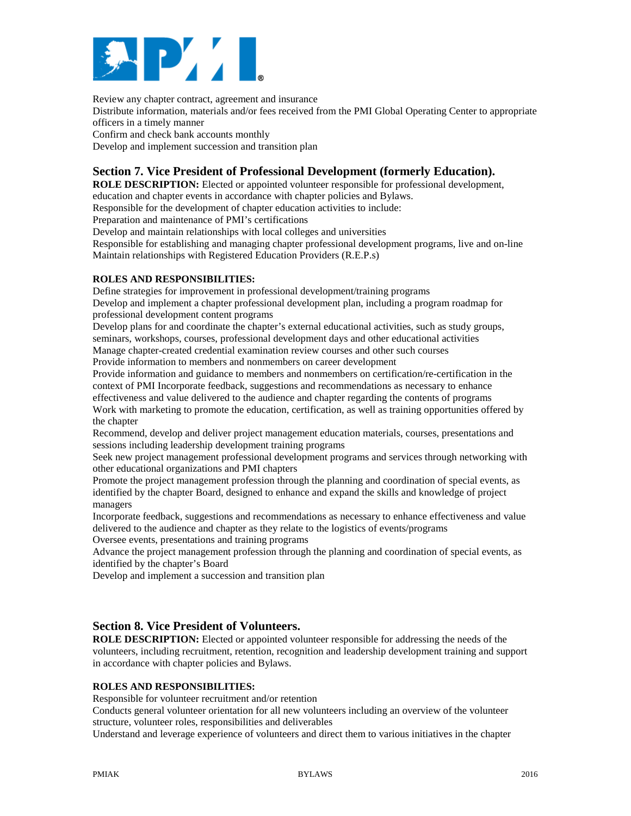

Review any chapter contract, agreement and insurance Distribute information, materials and/or fees received from the PMI Global Operating Center to appropriate officers in a timely manner Confirm and check bank accounts monthly

Develop and implement succession and transition plan

# **Section 7. Vice President of Professional Development (formerly Education).**

**ROLE DESCRIPTION:** Elected or appointed volunteer responsible for professional development, education and chapter events in accordance with chapter policies and Bylaws.

Responsible for the development of chapter education activities to include:

Preparation and maintenance of PMI's certifications

Develop and maintain relationships with local colleges and universities

Responsible for establishing and managing chapter professional development programs, live and on-line Maintain relationships with Registered Education Providers (R.E.P.s)

### **ROLES AND RESPONSIBILITIES:**

Define strategies for improvement in professional development/training programs

Develop and implement a chapter professional development plan, including a program roadmap for professional development content programs

Develop plans for and coordinate the chapter's external educational activities, such as study groups, seminars, workshops, courses, professional development days and other educational activities

Manage chapter-created credential examination review courses and other such courses

Provide information to members and nonmembers on career development

Provide information and guidance to members and nonmembers on certification/re-certification in the context of PMI Incorporate feedback, suggestions and recommendations as necessary to enhance

effectiveness and value delivered to the audience and chapter regarding the contents of programs Work with marketing to promote the education, certification, as well as training opportunities offered by the chapter

Recommend, develop and deliver project management education materials, courses, presentations and sessions including leadership development training programs

Seek new project management professional development programs and services through networking with other educational organizations and PMI chapters

Promote the project management profession through the planning and coordination of special events, as identified by the chapter Board, designed to enhance and expand the skills and knowledge of project managers

Incorporate feedback, suggestions and recommendations as necessary to enhance effectiveness and value delivered to the audience and chapter as they relate to the logistics of events/programs

Oversee events, presentations and training programs

Advance the project management profession through the planning and coordination of special events, as identified by the chapter's Board

Develop and implement a succession and transition plan

# **Section 8. Vice President of Volunteers.**

**ROLE DESCRIPTION:** Elected or appointed volunteer responsible for addressing the needs of the volunteers, including recruitment, retention, recognition and leadership development training and support in accordance with chapter policies and Bylaws.

### **ROLES AND RESPONSIBILITIES:**

Responsible for volunteer recruitment and/or retention

Conducts general volunteer orientation for all new volunteers including an overview of the volunteer structure, volunteer roles, responsibilities and deliverables

Understand and leverage experience of volunteers and direct them to various initiatives in the chapter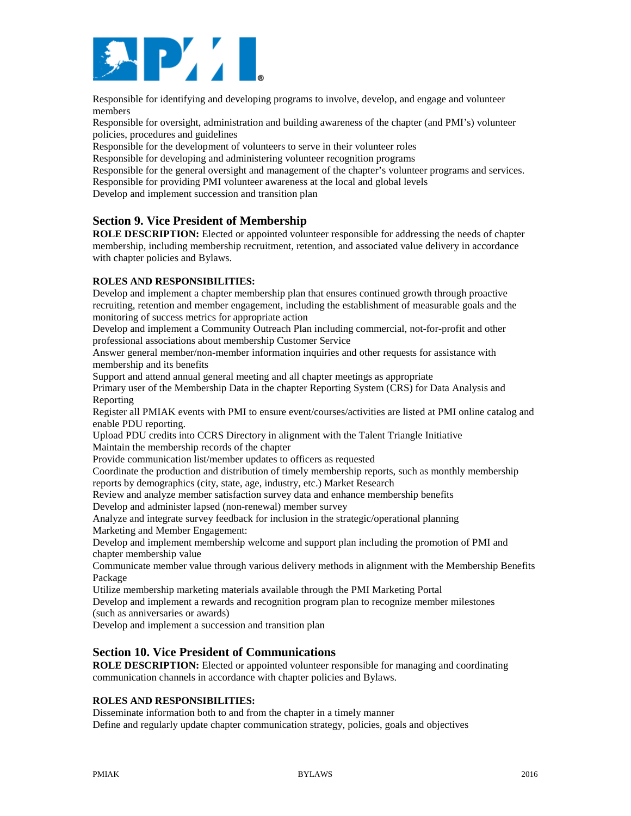

Responsible for identifying and developing programs to involve, develop, and engage and volunteer members

Responsible for oversight, administration and building awareness of the chapter (and PMI's) volunteer policies, procedures and guidelines

Responsible for the development of volunteers to serve in their volunteer roles

Responsible for developing and administering volunteer recognition programs

Responsible for the general oversight and management of the chapter's volunteer programs and services. Responsible for providing PMI volunteer awareness at the local and global levels

Develop and implement succession and transition plan

# **Section 9. Vice President of Membership**

**ROLE DESCRIPTION:** Elected or appointed volunteer responsible for addressing the needs of chapter membership, including membership recruitment, retention, and associated value delivery in accordance with chapter policies and Bylaws.

### **ROLES AND RESPONSIBILITIES:**

Develop and implement a chapter membership plan that ensures continued growth through proactive recruiting, retention and member engagement, including the establishment of measurable goals and the monitoring of success metrics for appropriate action

Develop and implement a Community Outreach Plan including commercial, not-for-profit and other professional associations about membership Customer Service

Answer general member/non-member information inquiries and other requests for assistance with membership and its benefits

Support and attend annual general meeting and all chapter meetings as appropriate

Primary user of the Membership Data in the chapter Reporting System (CRS) for Data Analysis and Reporting

Register all PMIAK events with PMI to ensure event/courses/activities are listed at PMI online catalog and enable PDU reporting.

Upload PDU credits into CCRS Directory in alignment with the Talent Triangle Initiative Maintain the membership records of the chapter

Provide communication list/member updates to officers as requested

Coordinate the production and distribution of timely membership reports, such as monthly membership reports by demographics (city, state, age, industry, etc.) Market Research

Review and analyze member satisfaction survey data and enhance membership benefits Develop and administer lapsed (non-renewal) member survey

Analyze and integrate survey feedback for inclusion in the strategic/operational planning Marketing and Member Engagement:

Develop and implement membership welcome and support plan including the promotion of PMI and chapter membership value

Communicate member value through various delivery methods in alignment with the Membership Benefits Package

Utilize membership marketing materials available through the PMI Marketing Portal

Develop and implement a rewards and recognition program plan to recognize member milestones (such as anniversaries or awards)

Develop and implement a succession and transition plan

# **Section 10. Vice President of Communications**

**ROLE DESCRIPTION:** Elected or appointed volunteer responsible for managing and coordinating communication channels in accordance with chapter policies and Bylaws.

#### **ROLES AND RESPONSIBILITIES:**

Disseminate information both to and from the chapter in a timely manner Define and regularly update chapter communication strategy, policies, goals and objectives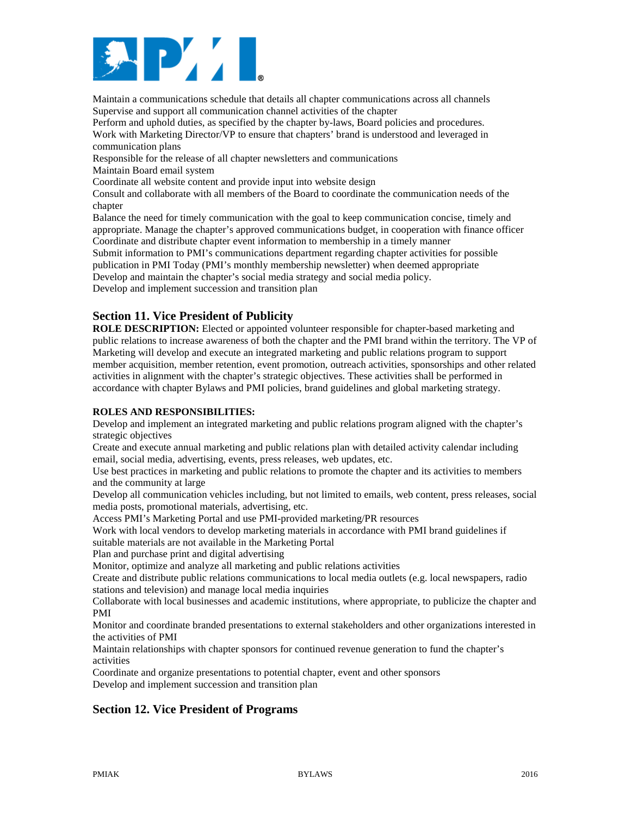

Maintain a communications schedule that details all chapter communications across all channels Supervise and support all communication channel activities of the chapter

Perform and uphold duties, as specified by the chapter by-laws, Board policies and procedures. Work with Marketing Director/VP to ensure that chapters' brand is understood and leveraged in communication plans

Responsible for the release of all chapter newsletters and communications

Maintain Board email system

Coordinate all website content and provide input into website design

Consult and collaborate with all members of the Board to coordinate the communication needs of the chapter

Balance the need for timely communication with the goal to keep communication concise, timely and appropriate. Manage the chapter's approved communications budget, in cooperation with finance officer Coordinate and distribute chapter event information to membership in a timely manner Submit information to PMI's communications department regarding chapter activities for possible publication in PMI Today (PMI's monthly membership newsletter) when deemed appropriate Develop and maintain the chapter's social media strategy and social media policy. Develop and implement succession and transition plan

# **Section 11. Vice President of Publicity**

**ROLE DESCRIPTION:** Elected or appointed volunteer responsible for chapter-based marketing and public relations to increase awareness of both the chapter and the PMI brand within the territory. The VP of Marketing will develop and execute an integrated marketing and public relations program to support member acquisition, member retention, event promotion, outreach activities, sponsorships and other related activities in alignment with the chapter's strategic objectives. These activities shall be performed in accordance with chapter Bylaws and PMI policies, brand guidelines and global marketing strategy.

### **ROLES AND RESPONSIBILITIES:**

Develop and implement an integrated marketing and public relations program aligned with the chapter's strategic objectives

Create and execute annual marketing and public relations plan with detailed activity calendar including email, social media, advertising, events, press releases, web updates, etc.

Use best practices in marketing and public relations to promote the chapter and its activities to members and the community at large

Develop all communication vehicles including, but not limited to emails, web content, press releases, social media posts, promotional materials, advertising, etc.

Access PMI's Marketing Portal and use PMI-provided marketing/PR resources

Work with local vendors to develop marketing materials in accordance with PMI brand guidelines if suitable materials are not available in the Marketing Portal

Plan and purchase print and digital advertising

Monitor, optimize and analyze all marketing and public relations activities

Create and distribute public relations communications to local media outlets (e.g. local newspapers, radio stations and television) and manage local media inquiries

Collaborate with local businesses and academic institutions, where appropriate, to publicize the chapter and PMI

Monitor and coordinate branded presentations to external stakeholders and other organizations interested in the activities of PMI

Maintain relationships with chapter sponsors for continued revenue generation to fund the chapter's activities

Coordinate and organize presentations to potential chapter, event and other sponsors Develop and implement succession and transition plan

# **Section 12. Vice President of Programs**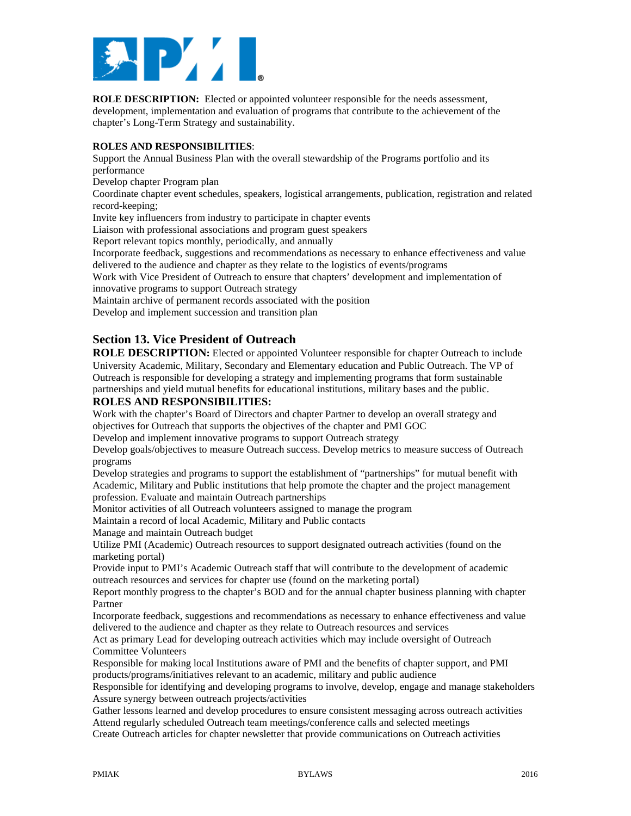

**ROLE DESCRIPTION:** Elected or appointed volunteer responsible for the needs assessment, development, implementation and evaluation of programs that contribute to the achievement of the chapter's Long-Term Strategy and sustainability.

#### **ROLES AND RESPONSIBILITIES**:

Support the Annual Business Plan with the overall stewardship of the Programs portfolio and its performance

Develop chapter Program plan

Coordinate chapter event schedules, speakers, logistical arrangements, publication, registration and related record-keeping;

Invite key influencers from industry to participate in chapter events

Liaison with professional associations and program guest speakers

Report relevant topics monthly, periodically, and annually

Incorporate feedback, suggestions and recommendations as necessary to enhance effectiveness and value delivered to the audience and chapter as they relate to the logistics of events/programs

Work with Vice President of Outreach to ensure that chapters' development and implementation of innovative programs to support Outreach strategy

Maintain archive of permanent records associated with the position

Develop and implement succession and transition plan

# **Section 13. Vice President of Outreach**

**ROLE DESCRIPTION:** Elected or appointed Volunteer responsible for chapter Outreach to include University Academic, Military, Secondary and Elementary education and Public Outreach. The VP of Outreach is responsible for developing a strategy and implementing programs that form sustainable partnerships and yield mutual benefits for educational institutions, military bases and the public.

### **ROLES AND RESPONSIBILITIES:**

Work with the chapter's Board of Directors and chapter Partner to develop an overall strategy and objectives for Outreach that supports the objectives of the chapter and PMI GOC

Develop and implement innovative programs to support Outreach strategy

Develop goals/objectives to measure Outreach success. Develop metrics to measure success of Outreach programs

Develop strategies and programs to support the establishment of "partnerships" for mutual benefit with Academic, Military and Public institutions that help promote the chapter and the project management profession. Evaluate and maintain Outreach partnerships

Monitor activities of all Outreach volunteers assigned to manage the program

Maintain a record of local Academic, Military and Public contacts

Manage and maintain Outreach budget

Utilize PMI (Academic) Outreach resources to support designated outreach activities (found on the marketing portal)

Provide input to PMI's Academic Outreach staff that will contribute to the development of academic outreach resources and services for chapter use (found on the marketing portal)

Report monthly progress to the chapter's BOD and for the annual chapter business planning with chapter Partner

Incorporate feedback, suggestions and recommendations as necessary to enhance effectiveness and value delivered to the audience and chapter as they relate to Outreach resources and services

Act as primary Lead for developing outreach activities which may include oversight of Outreach Committee Volunteers

Responsible for making local Institutions aware of PMI and the benefits of chapter support, and PMI products/programs/initiatives relevant to an academic, military and public audience

Responsible for identifying and developing programs to involve, develop, engage and manage stakeholders Assure synergy between outreach projects/activities

Gather lessons learned and develop procedures to ensure consistent messaging across outreach activities Attend regularly scheduled Outreach team meetings/conference calls and selected meetings Create Outreach articles for chapter newsletter that provide communications on Outreach activities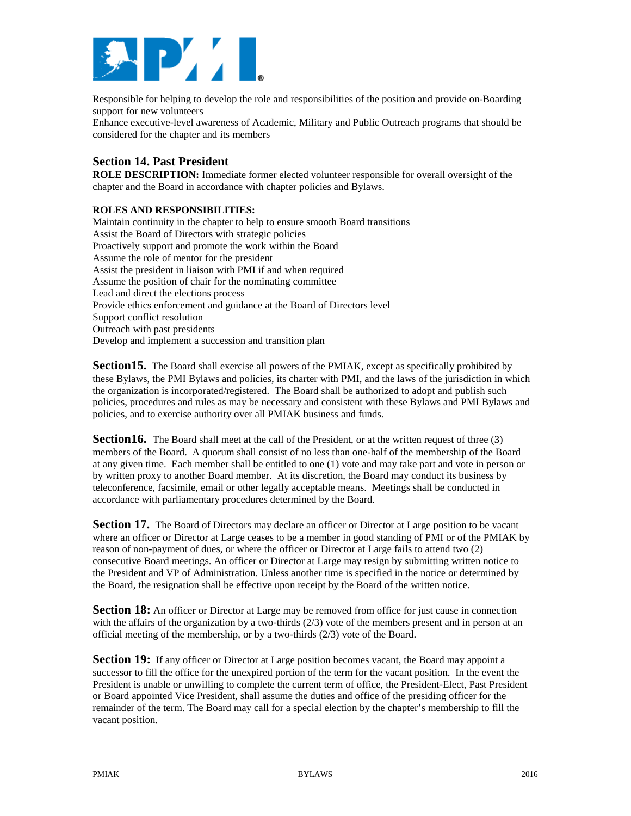

Responsible for helping to develop the role and responsibilities of the position and provide on-Boarding support for new volunteers

Enhance executive-level awareness of Academic, Military and Public Outreach programs that should be considered for the chapter and its members

# **Section 14. Past President**

**ROLE DESCRIPTION:** Immediate former elected volunteer responsible for overall oversight of the chapter and the Board in accordance with chapter policies and Bylaws.

### **ROLES AND RESPONSIBILITIES:**

Maintain continuity in the chapter to help to ensure smooth Board transitions Assist the Board of Directors with strategic policies Proactively support and promote the work within the Board Assume the role of mentor for the president Assist the president in liaison with PMI if and when required Assume the position of chair for the nominating committee Lead and direct the elections process Provide ethics enforcement and guidance at the Board of Directors level Support conflict resolution Outreach with past presidents Develop and implement a succession and transition plan

**Section 15.** The Board shall exercise all powers of the PMIAK, except as specifically prohibited by these Bylaws, the PMI Bylaws and policies, its charter with PMI, and the laws of the jurisdiction in which the organization is incorporated/registered. The Board shall be authorized to adopt and publish such policies, procedures and rules as may be necessary and consistent with these Bylaws and PMI Bylaws and policies, and to exercise authority over all PMIAK business and funds.

**Section 16.** The Board shall meet at the call of the President, or at the written request of three (3) members of the Board. A quorum shall consist of no less than one-half of the membership of the Board at any given time. Each member shall be entitled to one (1) vote and may take part and vote in person or by written proxy to another Board member. At its discretion, the Board may conduct its business by teleconference, facsimile, email or other legally acceptable means. Meetings shall be conducted in accordance with parliamentary procedures determined by the Board.

**Section 17.** The Board of Directors may declare an officer or Director at Large position to be vacant where an officer or Director at Large ceases to be a member in good standing of PMI or of the PMIAK by reason of non-payment of dues, or where the officer or Director at Large fails to attend two (2) consecutive Board meetings. An officer or Director at Large may resign by submitting written notice to the President and VP of Administration. Unless another time is specified in the notice or determined by the Board, the resignation shall be effective upon receipt by the Board of the written notice.

**Section 18:** An officer or Director at Large may be removed from office for just cause in connection with the affairs of the organization by a two-thirds  $(2/3)$  vote of the members present and in person at an official meeting of the membership, or by a two-thirds (2/3) vote of the Board.

**Section 19:** If any officer or Director at Large position becomes vacant, the Board may appoint a successor to fill the office for the unexpired portion of the term for the vacant position. In the event the President is unable or unwilling to complete the current term of office, the President-Elect, Past President or Board appointed Vice President, shall assume the duties and office of the presiding officer for the remainder of the term. The Board may call for a special election by the chapter's membership to fill the vacant position.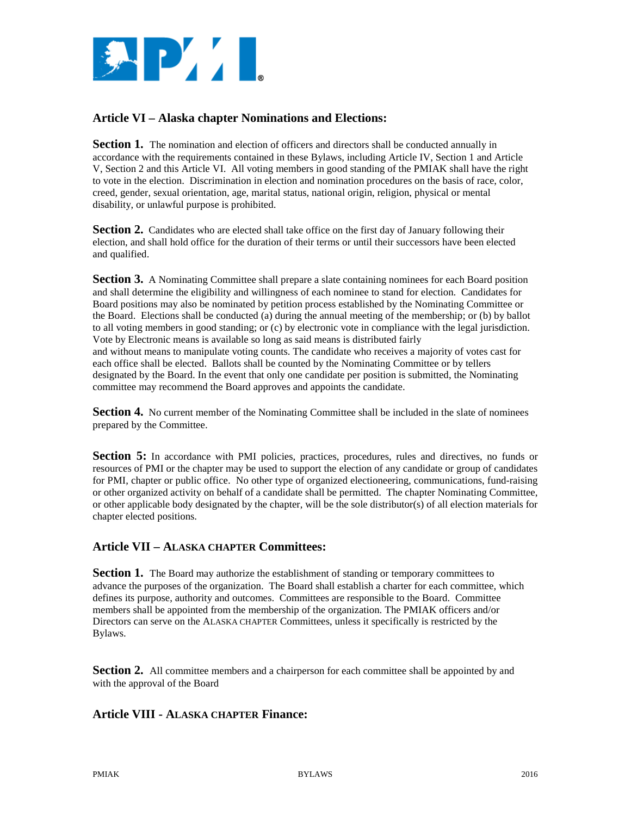

# **Article VI – Alaska chapter Nominations and Elections:**

**Section 1.** The nomination and election of officers and directors shall be conducted annually in accordance with the requirements contained in these Bylaws, including Article IV, Section 1 and Article V, Section 2 and this Article VI. All voting members in good standing of the PMIAK shall have the right to vote in the election. Discrimination in election and nomination procedures on the basis of race, color, creed, gender, sexual orientation, age, marital status, national origin, religion, physical or mental disability, or unlawful purpose is prohibited.

**Section 2.** Candidates who are elected shall take office on the first day of January following their election, and shall hold office for the duration of their terms or until their successors have been elected and qualified.

**Section 3.** A Nominating Committee shall prepare a slate containing nominees for each Board position and shall determine the eligibility and willingness of each nominee to stand for election. Candidates for Board positions may also be nominated by petition process established by the Nominating Committee or the Board. Elections shall be conducted (a) during the annual meeting of the membership; or (b) by ballot to all voting members in good standing; or (c) by electronic vote in compliance with the legal jurisdiction. Vote by Electronic means is available so long as said means is distributed fairly and without means to manipulate voting counts. The candidate who receives a majority of votes cast for each office shall be elected. Ballots shall be counted by the Nominating Committee or by tellers designated by the Board. In the event that only one candidate per position is submitted, the Nominating committee may recommend the Board approves and appoints the candidate.

**Section 4.** No current member of the Nominating Committee shall be included in the slate of nominees prepared by the Committee.

**Section 5:** In accordance with PMI policies, practices, procedures, rules and directives, no funds or resources of PMI or the chapter may be used to support the election of any candidate or group of candidates for PMI, chapter or public office. No other type of organized electioneering, communications, fund-raising or other organized activity on behalf of a candidate shall be permitted. The chapter Nominating Committee, or other applicable body designated by the chapter, will be the sole distributor(s) of all election materials for chapter elected positions.

### **Article VII – ALASKA CHAPTER Committees:**

**Section 1.** The Board may authorize the establishment of standing or temporary committees to advance the purposes of the organization. The Board shall establish a charter for each committee, which defines its purpose, authority and outcomes. Committees are responsible to the Board. Committee members shall be appointed from the membership of the organization. The PMIAK officers and/or Directors can serve on the ALASKA CHAPTER Committees, unless it specifically is restricted by the Bylaws.

**Section 2.** All committee members and a chairperson for each committee shall be appointed by and with the approval of the Board

# **Article VIII - ALASKA CHAPTER Finance:**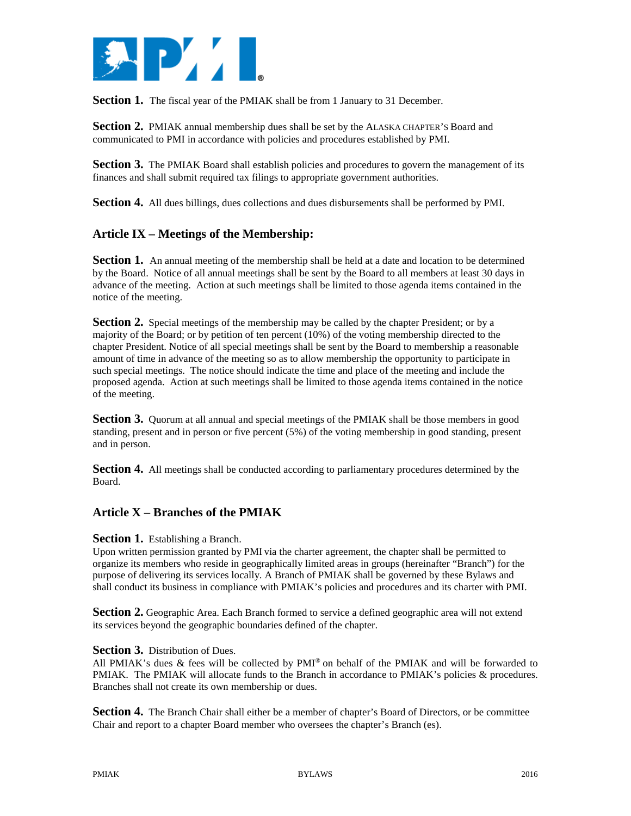

**Section 1.** The fiscal year of the PMIAK shall be from 1 January to 31 December.

**Section 2.** PMIAK annual membership dues shall be set by the ALASKA CHAPTER's Board and communicated to PMI in accordance with policies and procedures established by PMI.

**Section 3.** The PMIAK Board shall establish policies and procedures to govern the management of its finances and shall submit required tax filings to appropriate government authorities.

**Section 4.** All dues billings, dues collections and dues disbursements shall be performed by PMI.

# **Article IX – Meetings of the Membership:**

**Section 1.** An annual meeting of the membership shall be held at a date and location to be determined by the Board. Notice of all annual meetings shall be sent by the Board to all members at least 30 days in advance of the meeting. Action at such meetings shall be limited to those agenda items contained in the notice of the meeting.

**Section 2.** Special meetings of the membership may be called by the chapter President; or by a majority of the Board; or by petition of ten percent (10%) of the voting membership directed to the chapter President. Notice of all special meetings shall be sent by the Board to membership a reasonable amount of time in advance of the meeting so as to allow membership the opportunity to participate in such special meetings. The notice should indicate the time and place of the meeting and include the proposed agenda. Action at such meetings shall be limited to those agenda items contained in the notice of the meeting.

**Section 3.** Quorum at all annual and special meetings of the PMIAK shall be those members in good standing, present and in person or five percent (5%) of the voting membership in good standing, present and in person.

**Section 4.** All meetings shall be conducted according to parliamentary procedures determined by the Board.

# **Article X – Branches of the PMIAK**

#### **Section 1.** Establishing a Branch.

Upon written permission granted by PMI via the charter agreement, the chapter shall be permitted to organize its members who reside in geographically limited areas in groups (hereinafter "Branch") for the purpose of delivering its services locally. A Branch of PMIAK shall be governed by these Bylaws and shall conduct its business in compliance with PMIAK's policies and procedures and its charter with PMI.

**Section 2.** Geographic Area. Each Branch formed to service a defined geographic area will not extend its services beyond the geographic boundaries defined of the chapter.

#### **Section 3.** Distribution of Dues.

All PMIAK's dues  $\&$  fees will be collected by PMI® on behalf of the PMIAK and will be forwarded to PMIAK. The PMIAK will allocate funds to the Branch in accordance to PMIAK's policies & procedures. Branches shall not create its own membership or dues.

**Section 4.** The Branch Chair shall either be a member of chapter's Board of Directors, or be committee Chair and report to a chapter Board member who oversees the chapter's Branch (es).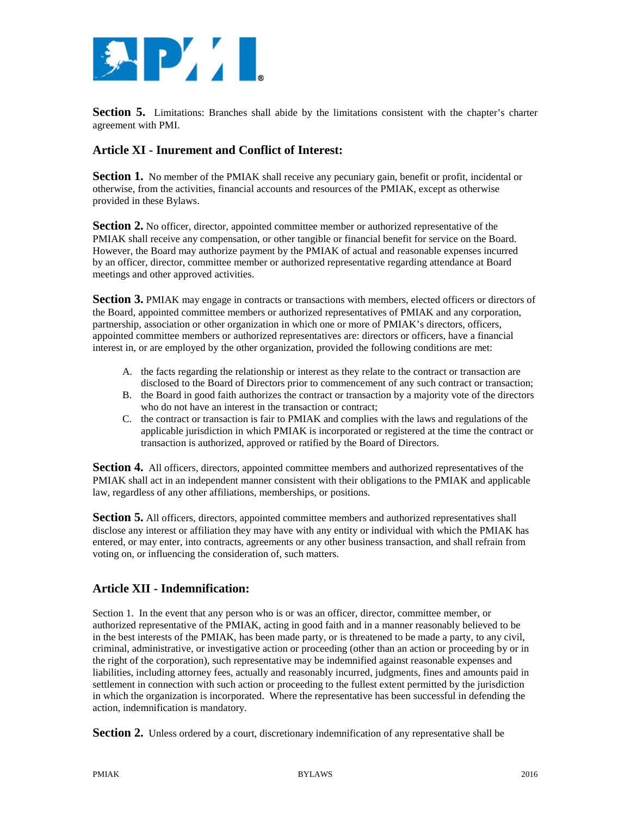

**Section 5.** Limitations: Branches shall abide by the limitations consistent with the chapter's charter agreement with PMI.

# **Article XI - Inurement and Conflict of Interest:**

**Section 1.** No member of the PMIAK shall receive any pecuniary gain, benefit or profit, incidental or otherwise, from the activities, financial accounts and resources of the PMIAK, except as otherwise provided in these Bylaws.

**Section 2.** No officer, director, appointed committee member or authorized representative of the PMIAK shall receive any compensation, or other tangible or financial benefit for service on the Board. However, the Board may authorize payment by the PMIAK of actual and reasonable expenses incurred by an officer, director, committee member or authorized representative regarding attendance at Board meetings and other approved activities.

**Section 3.** PMIAK may engage in contracts or transactions with members, elected officers or directors of the Board, appointed committee members or authorized representatives of PMIAK and any corporation, partnership, association or other organization in which one or more of PMIAK's directors, officers, appointed committee members or authorized representatives are: directors or officers, have a financial interest in, or are employed by the other organization, provided the following conditions are met:

- A. the facts regarding the relationship or interest as they relate to the contract or transaction are disclosed to the Board of Directors prior to commencement of any such contract or transaction;
- B. the Board in good faith authorizes the contract or transaction by a majority vote of the directors who do not have an interest in the transaction or contract;
- C. the contract or transaction is fair to PMIAK and complies with the laws and regulations of the applicable jurisdiction in which PMIAK is incorporated or registered at the time the contract or transaction is authorized, approved or ratified by the Board of Directors.

**Section 4.** All officers, directors, appointed committee members and authorized representatives of the PMIAK shall act in an independent manner consistent with their obligations to the PMIAK and applicable law, regardless of any other affiliations, memberships, or positions.

**Section 5.** All officers, directors, appointed committee members and authorized representatives shall disclose any interest or affiliation they may have with any entity or individual with which the PMIAK has entered, or may enter, into contracts, agreements or any other business transaction, and shall refrain from voting on, or influencing the consideration of, such matters.

# **Article XII - Indemnification:**

Section 1. In the event that any person who is or was an officer, director, committee member, or authorized representative of the PMIAK, acting in good faith and in a manner reasonably believed to be in the best interests of the PMIAK, has been made party, or is threatened to be made a party, to any civil, criminal, administrative, or investigative action or proceeding (other than an action or proceeding by or in the right of the corporation), such representative may be indemnified against reasonable expenses and liabilities, including attorney fees, actually and reasonably incurred, judgments, fines and amounts paid in settlement in connection with such action or proceeding to the fullest extent permitted by the jurisdiction in which the organization is incorporated. Where the representative has been successful in defending the action, indemnification is mandatory.

**Section 2.** Unless ordered by a court, discretionary indemnification of any representative shall be